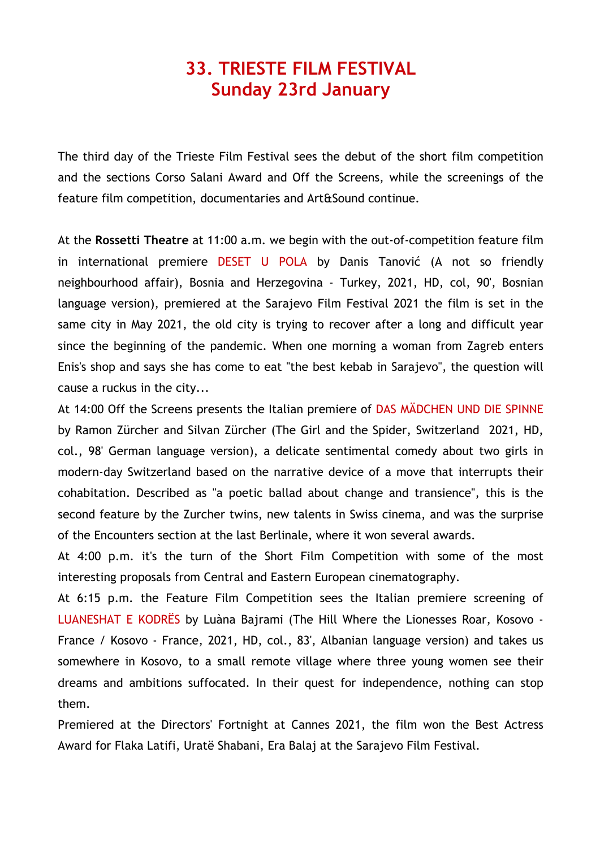## **33. TRIESTE FILM FESTIVAL Sunday 23rd January**

The third day of the Trieste Film Festival sees the debut of the short film competition and the sections Corso Salani Award and Off the Screens, while the screenings of the feature film competition, documentaries and Art&Sound continue.

At the **Rossetti Theatre** at 11:00 a.m. we begin with the out-of-competition feature film in international premiere DESET U POLA by Danis Tanović (A not so friendly neighbourhood affair), Bosnia and Herzegovina - Turkey, 2021, HD, col, 90', Bosnian language version), premiered at the Sarajevo Film Festival 2021 the film is set in the same city in May 2021, the old city is trying to recover after a long and difficult year since the beginning of the pandemic. When one morning a woman from Zagreb enters Enis's shop and says she has come to eat "the best kebab in Sarajevo", the question will cause a ruckus in the city...

At 14:00 Off the Screens presents the Italian premiere of DAS MÄDCHEN UND DIE SPINNE by Ramon Zürcher and Silvan Zürcher (The Girl and the Spider, Switzerland 2021, HD, col., 98' German language version), a delicate sentimental comedy about two girls in modern-day Switzerland based on the narrative device of a move that interrupts their cohabitation. Described as "a poetic ballad about change and transience", this is the second feature by the Zurcher twins, new talents in Swiss cinema, and was the surprise of the Encounters section at the last Berlinale, where it won several awards.

At 4:00 p.m. it's the turn of the Short Film Competition with some of the most interesting proposals from Central and Eastern European cinematography.

At 6:15 p.m. the Feature Film Competition sees the Italian premiere screening of LUANESHAT E KODRËS by Luàna Bajrami (The Hill Where the Lionesses Roar, Kosovo - France / Kosovo - France, 2021, HD, col., 83', Albanian language version) and takes us somewhere in Kosovo, to a small remote village where three young women see their dreams and ambitions suffocated. In their quest for independence, nothing can stop them.

Premiered at the Directors' Fortnight at Cannes 2021, the film won the Best Actress Award for Flaka Latifi, Uratë Shabani, Era Balaj at the Sarajevo Film Festival.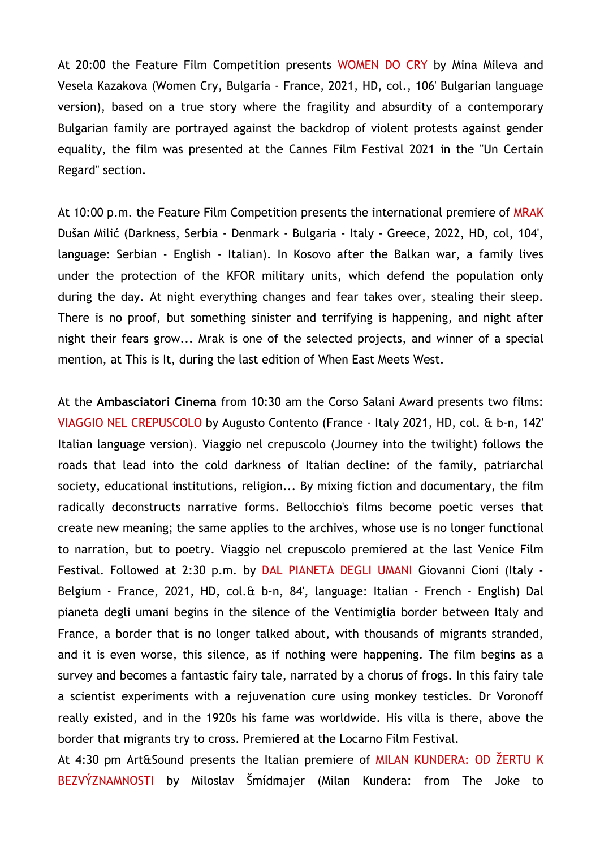At 20:00 the Feature Film Competition presents WOMEN DO CRY by Mina Mileva and Vesela Kazakova (Women Cry, Bulgaria - France, 2021, HD, col., 106' Bulgarian language version), based on a true story where the fragility and absurdity of a contemporary Bulgarian family are portrayed against the backdrop of violent protests against gender equality, the film was presented at the Cannes Film Festival 2021 in the "Un Certain Regard" section.

At 10:00 p.m. the Feature Film Competition presents the international premiere of MRAK Dušan Milić (Darkness, Serbia - Denmark - Bulgaria - Italy - Greece, 2022, HD, col, 104', language: Serbian - English - Italian). In Kosovo after the Balkan war, a family lives under the protection of the KFOR military units, which defend the population only during the day. At night everything changes and fear takes over, stealing their sleep. There is no proof, but something sinister and terrifying is happening, and night after night their fears grow... Mrak is one of the selected projects, and winner of a special mention, at This is It, during the last edition of When East Meets West.

At the **Ambasciatori Cinema** from 10:30 am the Corso Salani Award presents two films: VIAGGIO NEL CREPUSCOLO by Augusto Contento (France - Italy 2021, HD, col. & b-n, 142' Italian language version). Viaggio nel crepuscolo (Journey into the twilight) follows the roads that lead into the cold darkness of Italian decline: of the family, patriarchal society, educational institutions, religion... By mixing fiction and documentary, the film radically deconstructs narrative forms. Bellocchio's films become poetic verses that create new meaning; the same applies to the archives, whose use is no longer functional to narration, but to poetry. Viaggio nel crepuscolo premiered at the last Venice Film Festival. Followed at 2:30 p.m. by DAL PIANETA DEGLI UMANI Giovanni Cioni (Italy - Belgium - France, 2021, HD, col.& b-n, 84', language: Italian - French - English) Dal pianeta degli umani begins in the silence of the Ventimiglia border between Italy and France, a border that is no longer talked about, with thousands of migrants stranded, and it is even worse, this silence, as if nothing were happening. The film begins as a survey and becomes a fantastic fairy tale, narrated by a chorus of frogs. In this fairy tale a scientist experiments with a rejuvenation cure using monkey testicles. Dr Voronoff really existed, and in the 1920s his fame was worldwide. His villa is there, above the border that migrants try to cross. Premiered at the Locarno Film Festival.

At 4:30 pm Art&Sound presents the Italian premiere of MILAN KUNDERA: OD ŽERTU K BEZVÝZNAMNOSTI by Miloslav Šmídmajer (Milan Kundera: from The Joke to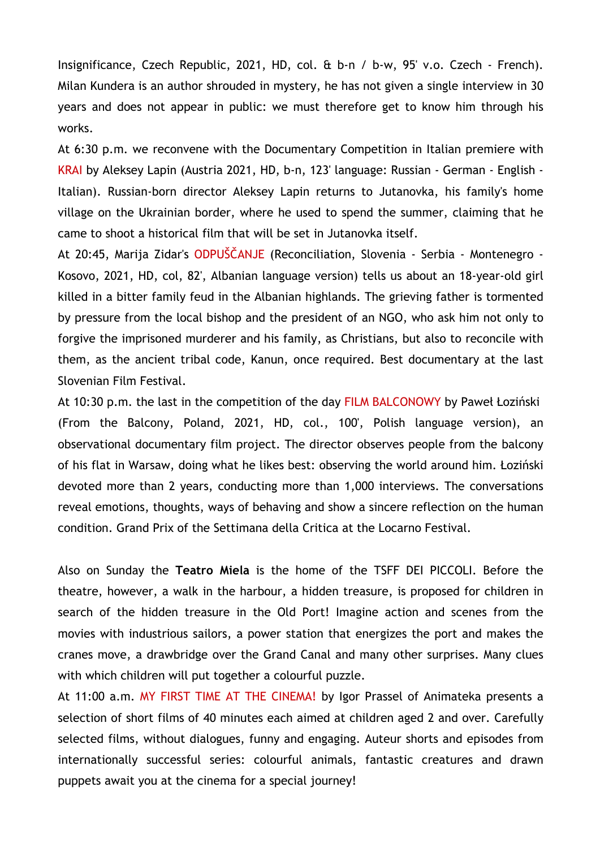Insignificance, Czech Republic, 2021, HD, col. & b-n / b-w, 95' v.o. Czech - French). Milan Kundera is an author shrouded in mystery, he has not given a single interview in 30 years and does not appear in public: we must therefore get to know him through his works.

At 6:30 p.m. we reconvene with the Documentary Competition in Italian premiere with KRAI by Aleksey Lapin (Austria 2021, HD, b-n, 123' language: Russian - German - English - Italian). Russian-born director Aleksey Lapin returns to Jutanovka, his family's home village on the Ukrainian border, where he used to spend the summer, claiming that he came to shoot a historical film that will be set in Jutanovka itself.

At 20:45, Marija Zidar's ODPUŠČANJE (Reconciliation, Slovenia - Serbia - Montenegro - Kosovo, 2021, HD, col, 82', Albanian language version) tells us about an 18-year-old girl killed in a bitter family feud in the Albanian highlands. The grieving father is tormented by pressure from the local bishop and the president of an NGO, who ask him not only to forgive the imprisoned murderer and his family, as Christians, but also to reconcile with them, as the ancient tribal code, Kanun, once required. Best documentary at the last Slovenian Film Festival.

At 10:30 p.m. the last in the competition of the day FILM BALCONOWY by Paweł Łoziński (From the Balcony, Poland, 2021, HD, col., 100', Polish language version), an observational documentary film project. The director observes people from the balcony of his flat in Warsaw, doing what he likes best: observing the world around him. Łoziński devoted more than 2 years, conducting more than 1,000 interviews. The conversations reveal emotions, thoughts, ways of behaving and show a sincere reflection on the human condition. Grand Prix of the Settimana della Critica at the Locarno Festival.

Also on Sunday the **Teatro Miela** is the home of the TSFF DEI PICCOLI. Before the theatre, however, a walk in the harbour, a hidden treasure, is proposed for children in search of the hidden treasure in the Old Port! Imagine action and scenes from the movies with industrious sailors, a power station that energizes the port and makes the cranes move, a drawbridge over the Grand Canal and many other surprises. Many clues with which children will put together a colourful puzzle.

At 11:00 a.m. MY FIRST TIME AT THE CINEMA! by Igor Prassel of Animateka presents a selection of short films of 40 minutes each aimed at children aged 2 and over. Carefully selected films, without dialogues, funny and engaging. Auteur shorts and episodes from internationally successful series: colourful animals, fantastic creatures and drawn puppets await you at the cinema for a special journey!